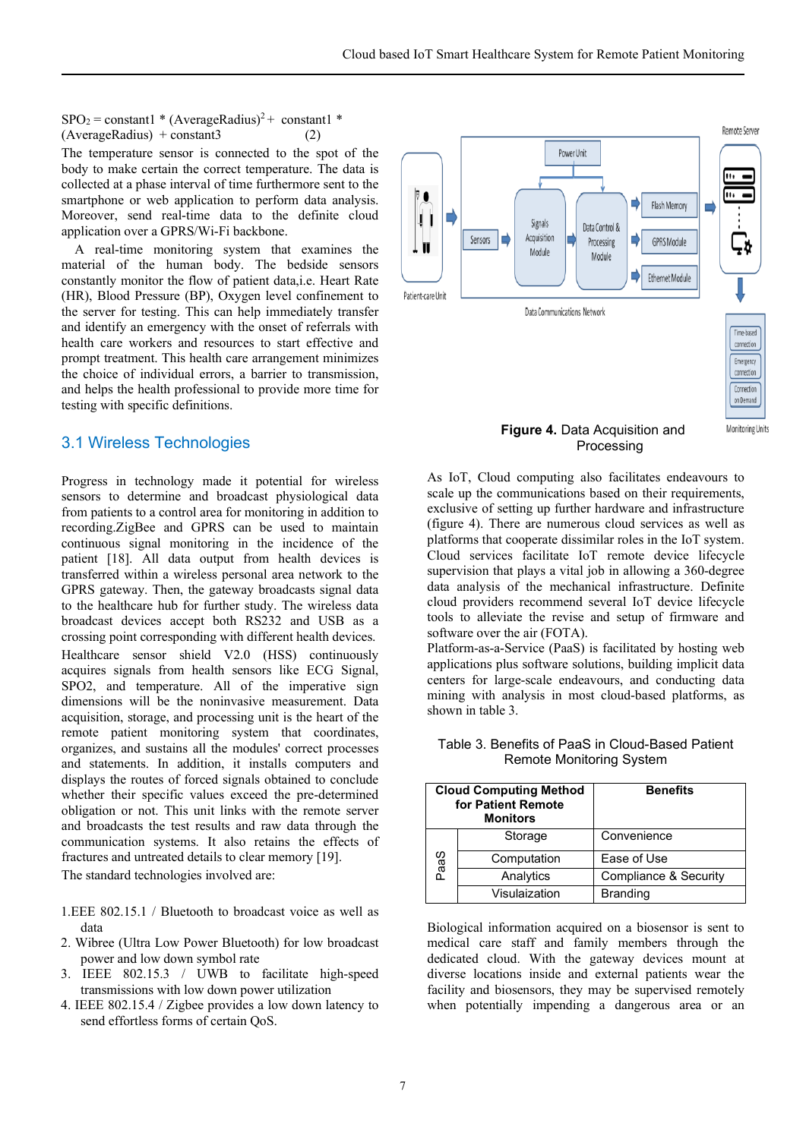$SPO<sub>2</sub> = constant1$  \* (AverageRadius)<sup>2</sup> + constant1 \*  $(AverageRadius) + constant3$  (2)

The temperature sensor is connected to the spot of the body to make certain the correct temperature. The data is collected at a phase interval of time furthermore sent to the smartphone or web application to perform data analysis. Moreover, send real-time data to the definite cloud application over a GPRS/Wi-Fi backbone.

 A real-time monitoring system that examines the material of the human body. The bedside sensors constantly monitor the flow of patient data,i.e. Heart Rate (HR), Blood Pressure (BP), Oxygen level confinement to the server for testing. This can help immediately transfer and identify an emergency with the onset of referrals with health care workers and resources to start effective and prompt treatment. This health care arrangement minimizes the choice of individual errors, a barrier to transmission, and helps the health professional to provide more time for testing with specific definitions.

## 3.1 Wireless Technologies

Progress in technology made it potential for wireless sensors to determine and broadcast physiological data from patients to a control area for monitoring in addition to recording.ZigBee and GPRS can be used to maintain continuous signal monitoring in the incidence of the patient [18]. All data output from health devices is transferred within a wireless personal area network to the GPRS gateway. Then, the gateway broadcasts signal data to the healthcare hub for further study. The wireless data broadcast devices accept both RS232 and USB as a crossing point corresponding with different health devices. Healthcare sensor shield V2.0 (HSS) continuously acquires signals from health sensors like ECG Signal, SPO2, and temperature. All of the imperative sign dimensions will be the noninvasive measurement. Data acquisition, storage, and processing unit is the heart of the remote patient monitoring system that coordinates, organizes, and sustains all the modules' correct processes and statements. In addition, it installs computers and displays the routes of forced signals obtained to conclude whether their specific values exceed the pre-determined obligation or not. This unit links with the remote server and broadcasts the test results and raw data through the communication systems. It also retains the effects of fractures and untreated details to clear memory [19]. The standard technologies involved are:

1.EEE 802.15.1 / Bluetooth to broadcast voice as well as data

- 2. Wibree (Ultra Low Power Bluetooth) for low broadcast power and low down symbol rate
- 3. IEEE 802.15.3 / UWB to facilitate high-speed transmissions with low down power utilization
- 4. IEEE 802.15.4 / Zigbee provides a low down latency to send effortless forms of certain QoS.



As IoT, Cloud computing also facilitates endeavours to scale up the communications based on their requirements, exclusive of setting up further hardware and infrastructure (figure 4). There are numerous cloud services as well as platforms that cooperate dissimilar roles in the IoT system. Cloud services facilitate IoT remote device lifecycle supervision that plays a vital job in allowing a 360-degree data analysis of the mechanical infrastructure. Definite cloud providers recommend several IoT device lifecycle tools to alleviate the revise and setup of firmware and software over the air (FOTA).

Platform-as-a-Service (PaaS) is facilitated by hosting web applications plus software solutions, building implicit data centers for large-scale endeavours, and conducting data mining with analysis in most cloud-based platforms, as shown in table 3.

| <b>Cloud Computing Method</b><br>for Patient Remote<br><b>Monitors</b> |               | <b>Benefits</b>       |
|------------------------------------------------------------------------|---------------|-----------------------|
| PaaS                                                                   | Storage       | Convenience           |
|                                                                        | Computation   | Ease of Use           |
|                                                                        | Analytics     | Compliance & Security |
|                                                                        | Visulaization | <b>Branding</b>       |

Table 3. Benefits of PaaS in Cloud-Based Patient Remote Monitoring System

Biological information acquired on a biosensor is sent to medical care staff and family members through the dedicated cloud. With the gateway devices mount at diverse locations inside and external patients wear the facility and biosensors, they may be supervised remotely when potentially impending a dangerous area or an

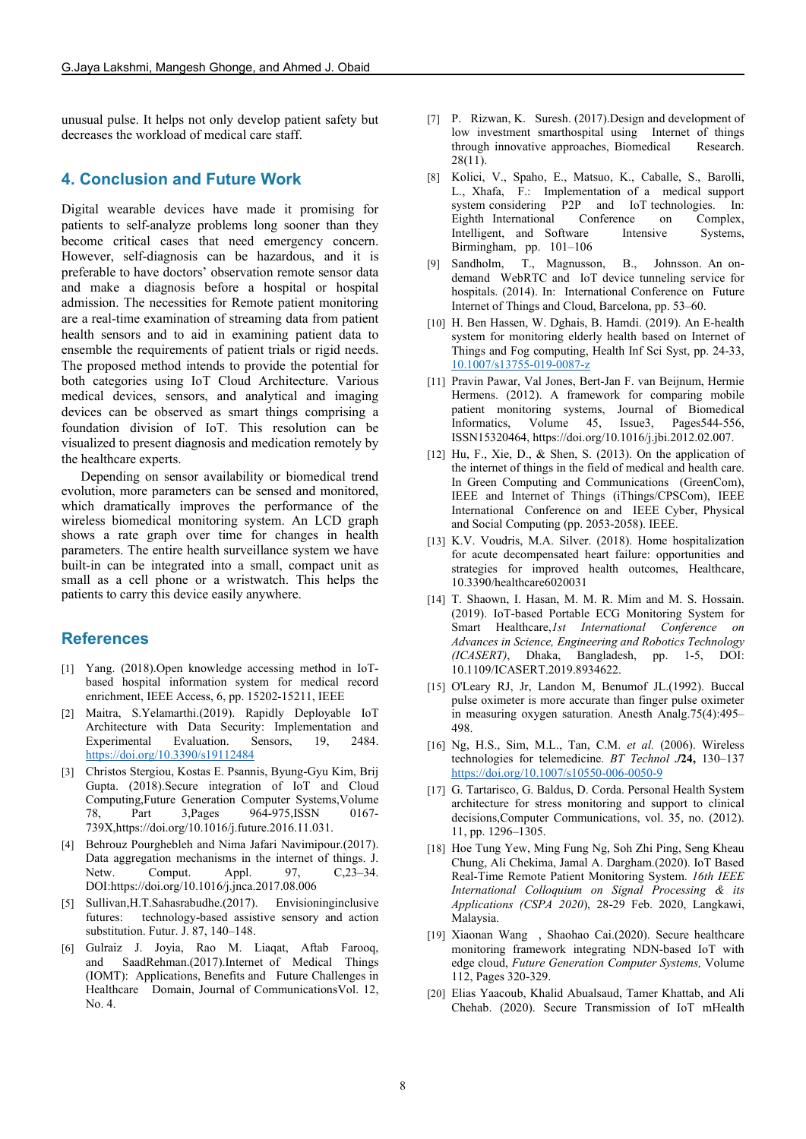unusual pulse. It helps not only develop patient safety but decreases the workload of medical care staff.

## **4. Conclusion and Future Work**

Digital wearable devices have made it promising for patients to self-analyze problems long sooner than they become critical cases that need emergency concern. However, self-diagnosis can be hazardous, and it is preferable to have doctors' observation remote sensor data and make a diagnosis before a hospital or hospital admission. The necessities for Remote patient monitoring are a real-time examination of streaming data from patient health sensors and to aid in examining patient data to ensemble the requirements of patient trials or rigid needs. The proposed method intends to provide the potential for both categories using IoT Cloud Architecture. Various medical devices, sensors, and analytical and imaging devices can be observed as smart things comprising a foundation division of IoT. This resolution can be visualized to present diagnosis and medication remotely by the healthcare experts.

Depending on sensor availability or biomedical trend evolution, more parameters can be sensed and monitored, which dramatically improves the performance of the wireless biomedical monitoring system. An LCD graph shows a rate graph over time for changes in health parameters. The entire health surveillance system we have built-in can be integrated into a small, compact unit as small as a cell phone or a wristwatch. This helps the patients to carry this device easily anywhere.

## **References**

- [1] Yang. (2018).Open knowledge accessing method in IoTbased hospital information system for medical record enrichment, IEEE Access, 6, pp. 15202-15211, IEEE
- [2] Maitra, S.Yelamarthi.(2019). Rapidly Deployable IoT Architecture with Data Security: Implementation and Experimental Evaluation. Sensors, 19, 2484. <https://doi.org/10.3390/s19112484>
- [3] Christos Stergiou, Kostas E. Psannis, Byung-Gyu Kim, Brij Gupta. (2018).Secure integration of IoT and Cloud Computing,Future Generation Computer Systems,Volume 78, Part 3,Pages 964-975,ISSN 0167- 739X,https://doi.org/10.1016/j.future.2016.11.031.
- [4] Behrouz Pourghebleh and Nima Jafari Navimipour.(2017). Data aggregation mechanisms in the internet of things. J. Netw. Comput. Appl. 97, C, 23–34. DOI:https://doi.org/10.1016/j.jnca.2017.08.006
- [5] Sullivan,H.T.Sahasrabudhe.(2017). Envisioninginclusive futures: technology-based assistive sensory and action substitution. Futur. J. 87, 140–148.
- [6] Gulraiz J. Joyia, Rao M. Liaqat, Aftab Farooq, and SaadRehman.(2017).Internet of Medical Things (IOMT): Applications, Benefits and Future Challenges in Healthcare Domain, Journal of CommunicationsVol. 12,  $No. 4$
- [7] P. Rizwan, K. Suresh. (2017).Design and development of low investment smarthospital using Internet of things through innovative approaches, Biomedical Research. 28(11).
- [8] Kolici, V., Spaho, E., Matsuo, K., Caballe, S., Barolli, L., Xhafa, F.: Implementation of a medical support system considering P2P and IoT technologies. In: Eighth International Conference on Complex, Intelligent, and Software Intensive Systems, Birmingham, pp. 101–106
- [9] Sandholm, T., Magnusson, B., Johnsson. An ondemand WebRTC and IoT device tunneling service for hospitals. (2014). In: International Conference on Future Internet of Things and Cloud, Barcelona, pp. 53–60.
- [10] H. Ben Hassen, W. Dghais, B. Hamdi. (2019). An E-health system for monitoring elderly health based on Internet of Things and Fog computing, Health Inf Sci Syst, pp. 24-33, [10.1007/s13755-019-0087-z](https://doi.org/10.1007/s13755-019-0087-z)
- [11] Pravin Pawar, Val Jones, Bert-Jan F. van Beijnum, Hermie Hermens. (2012). A framework for comparing mobile patient monitoring systems, Journal of Biomedical Informatics, Volume 45, Issue3, Pages544-556, ISSN15320464, https://doi.org/10.1016/j.jbi.2012.02.007.
- [12] Hu, F., Xie, D., & Shen, S. (2013). On the application of the internet of things in the field of medical and health care. In Green Computing and Communications (GreenCom), IEEE and Internet of Things (iThings/CPSCom), IEEE International Conference on and IEEE Cyber, Physical and Social Computing (pp. 2053-2058). IEEE.
- [13] K.V. Voudris, M.A. Silver. (2018). Home hospitalization for acute decompensated heart failure: opportunities and strategies for improved health outcomes, Healthcare, [10.3390/healthcare6020031](https://doi.org/10.3390/healthcare6020031)
- [14] T. Shaown, I. Hasan, M. M. R. Mim and M. S. Hossain. (2019). IoT-based Portable ECG Monitoring System for Smart Healthcare,*1st International Conference on Advances in Science, Engineering and Robotics Technology (ICASERT)*, Dhaka, Bangladesh, pp. 1-5, DOI: 10.1109/ICASERT.2019.8934622.
- [15] O'Leary RJ, Jr, Landon M, Benumof JL.(1992). Buccal pulse oximeter is more accurate than finger pulse oximeter in measuring oxygen saturation. Anesth Analg.75(4):495– 498.
- [16] Ng, H.S., Sim, M.L., Tan, C.M. *et al.* (2006). Wireless technologies for telemedicine. *BT Technol J***24,** 130–137 <https://doi.org/10.1007/s10550-006-0050-9>
- [17] G. Tartarisco, G. Baldus, D. Corda. Personal Health System architecture for stress monitoring and support to clinical decisions,Computer Communications, vol. 35, no. (2012). 11, pp. 1296–1305.
- [18] Hoe Tung Yew, Ming Fung Ng, Soh Zhi Ping, Seng Kheau Chung, Ali Chekima, Jamal A. Dargham.(2020). IoT Based Real-Time Remote Patient Monitoring System. *16th IEEE International Colloquium on Signal Processing & its Applications (CSPA 2020*), 28-29 Feb. 2020, Langkawi, Malaysia.
- [19] Xiaonan Wang , Shaohao Cai.(2020). Secure healthcare monitoring framework integrating NDN-based IoT with edge cloud, *[Future Generation Computer Systems,](https://www.sciencedirect.com/journal/future-generation-computer-systems)* [Volume](https://www.sciencedirect.com/science/journal/0167739X/112/supp/C)  [112,](https://www.sciencedirect.com/science/journal/0167739X/112/supp/C) Pages 320-329.
- [20] Elias Yaacoub, Khalid Abualsaud, Tamer Khattab, and Ali Chehab. (2020). Secure Transmission of IoT mHealth

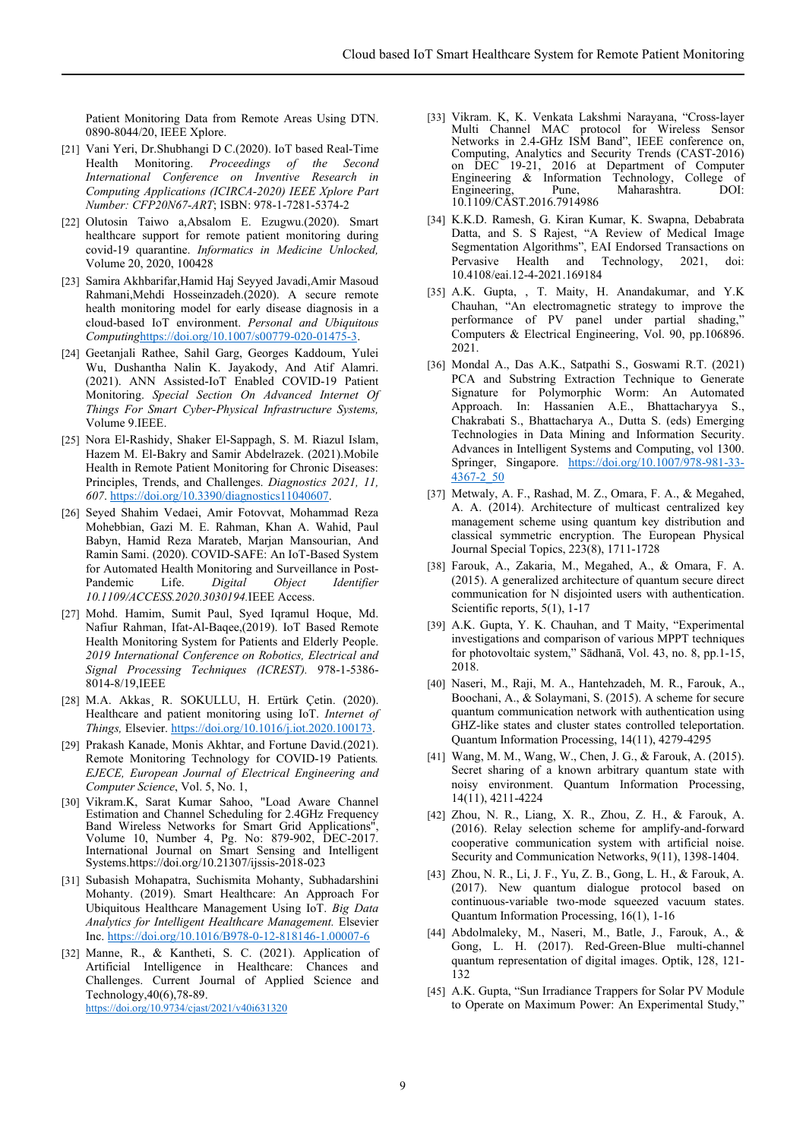Patient Monitoring Data from Remote Areas Using DTN. 0890-8044/20, IEEE Xplore.

- [21] Vani Yeri, Dr.Shubhangi D C.(2020). IoT based Real-Time Health Monitoring. *Proceedings of the Second International Conference on Inventive Research in Computing Applications (ICIRCA-2020) IEEE Xplore Part Number: CFP20N67-ART*; ISBN: 978-1-7281-5374-2
- [22] Olutosin Taiwo a,Absalom E. Ezugwu.(2020). Smart healthcare support for remote patient monitoring during covid-19 quarantine. *Informatics in Medicine Unlocked,*  Volume 20, 2020, 100428
- [23] Samira Akhbarifar,Hamid Haj Seyyed Javadi,Amir Masoud Rahmani,Mehdi Hosseinzadeh.(2020). A secure remote health monitoring model for early disease diagnosis in a cloud-based IoT environment. *Personal and Ubiquitous Computing*[https://doi.org/10.1007/s00779-020-01475-3.](https://doi.org/10.1007/s00779-020-01475-3)
- [24] Geetanjali Rathee, Sahil Garg, Georges Kaddoum, Yulei Wu, Dushantha Nalin K. Jayakody, And Atif Alamri. (2021). ANN Assisted-IoT Enabled COVID-19 Patient Monitoring. *Special Section On Advanced Internet Of Things For Smart Cyber-Physical Infrastructure Systems,* Volume 9.IEEE.
- [25] Nora El-Rashidy, Shaker El-Sappagh, S. M. Riazul Islam, Hazem M. El-Bakry and Samir Abdelrazek. (2021).Mobile Health in Remote Patient Monitoring for Chronic Diseases: Principles, Trends, and Challenges. *Diagnostics 2021, 11, 607*[. https://doi.org/10.3390/diagnostics11040607.](https://doi.org/10.3390/diagnostics11040607)
- [26] Seyed Shahim Vedaei, Amir Fotovvat, Mohammad Reza Mohebbian, Gazi M. E. Rahman, Khan A. Wahid, Paul Babyn, Hamid Reza Marateb, Marjan Mansourian, And Ramin Sami. (2020). COVID-SAFE: An IoT-Based System for Automated Health Monitoring and Surveillance in Post-Pandemic Life. *Digital Object Identifier 10.1109/ACCESS.2020.3030194.*IEEE Access.
- [27] Mohd. Hamim, Sumit Paul, Syed Iqramul Hoque, Md. Nafiur Rahman, Ifat-Al-Baqee,(2019). IoT Based Remote Health Monitoring System for Patients and Elderly People. *2019 International Conference on Robotics, Electrical and Signal Processing Techniques (ICREST).* 978-1-5386- 8014-8/19,IEEE
- [28] M.A. Akkas, R. SOKULLU, H. Ertürk Çetin. (2020). Healthcare and patient monitoring using IoT. *Internet of Things,* Elsevier[. https://doi.org/10.1016/j.iot.2020.100173.](https://doi.org/10.1016/j.iot.2020.100173)
- [29] Prakash Kanade, Monis Akhtar, and Fortune David.(2021). Remote Monitoring Technology for COVID-19 Patients*. EJECE, European Journal of Electrical Engineering and Computer Science*, Vol. 5, No. 1,
- [30] Vikram.K, Sarat Kumar Sahoo, "Load Aware Channel Estimation and Channel Scheduling for 2.4GHz Frequency Band Wireless Networks for Smart Grid Applications Volume 10, Number 4, Pg. No: 879-902, DEC-2017. International Journal on Smart Sensing and Intelligent Systems.https://doi.org/10.21307/ijssis-2018-023
- [31] Subasish Mohapatra, Suchismita Mohanty, Subhadarshini Mohanty. (2019). Smart Healthcare: An Approach For Ubiquitous Healthcare Management Using IoT. *Big Data Analytics for Intelligent Healthcare Management.* Elsevier Inc[. https://doi.org/10.1016/B978-0-12-818146-1.00007-6](https://doi.org/10.1016/B978-0-12-818146-1.00007-6)
- [32] Manne, R., & Kantheti, S. C. (2021). Application of Artificial Intelligence in Healthcare: Chances and Challenges. Current Journal of Applied Science and Technology,40(6),78-89. <https://doi.org/10.9734/cjast/2021/v40i631320>
- [33] Vikram. K, K. Venkata Lakshmi Narayana, "Cross-layer Multi Channel MAC protocol for Wireless Sensor Networks in 2.4-GHz ISM Band", IEEE conference on, Computing, Analytics and Security Trends (CAST-2016) on DEC 19-21, 2016 at Department of Computer Engineering & Information Technology, College of Engineering. Pune. Maharashtra. DOI: Maharashtra. 10.1109/CAST.2016.7914986
- [34] K.K.D. Ramesh, G. Kiran Kumar, K. Swapna, Debabrata Datta, and S. S Rajest, "A Review of Medical Image Segmentation Algorithms", EAI Endorsed Transactions on Pervasive Health and Technology, 2021, doi: 10.4108/eai.12-4-2021.169184
- [35] A.K. Gupta, , T. Maity, H. Anandakumar, and Y.K. Chauhan, "An electromagnetic strategy to improve the performance of PV panel under partial shading," Computers & Electrical Engineering, Vol. 90, pp.106896. 2021.
- [36] Mondal A., Das A.K., Satpathi S., Goswami R.T. (2021) PCA and Substring Extraction Technique to Generate Signature for Polymorphic Worm: An Automated Approach. In: Hassanien A.E., Bhattacharyya S., Chakrabati S., Bhattacharya A., Dutta S. (eds) Emerging Technologies in Data Mining and Information Security. Advances in Intelligent Systems and Computing, vol 1300. Springer, Singapore. [https://doi.org/10.1007/978-981-33-](https://doi.org/10.1007/978-981-33-4367-2_50) [4367-2\\_50](https://doi.org/10.1007/978-981-33-4367-2_50)
- [37] Metwaly, A. F., Rashad, M. Z., Omara, F. A., & Megahed, A. A. (2014). Architecture of multicast centralized key management scheme using quantum key distribution and classical symmetric encryption. The European Physical Journal Special Topics, 223(8), 1711-1728
- [38] Farouk, A., Zakaria, M., Megahed, A., & Omara, F. A. (2015). A generalized architecture of quantum secure direct communication for N disjointed users with authentication. Scientific reports, 5(1), 1-17
- [39] A.K. Gupta, Y. K. Chauhan, and T Maity, "Experimental investigations and comparison of various MPPT techniques for photovoltaic system," Sādhanā, Vol. 43, no. 8, pp.1-15, 2018.
- [40] Naseri, M., Raji, M. A., Hantehzadeh, M. R., Farouk, A., Boochani, A., & Solaymani, S. (2015). A scheme for secure quantum communication network with authentication using GHZ-like states and cluster states controlled teleportation. Quantum Information Processing, 14(11), 4279-4295
- [41] Wang, M. M., Wang, W., Chen, J. G., & Farouk, A. (2015). Secret sharing of a known arbitrary quantum state with noisy environment. Quantum Information Processing, 14(11), 4211-4224
- [42] Zhou, N. R., Liang, X. R., Zhou, Z. H., & Farouk, A. (2016). Relay selection scheme for amplify‐and‐forward cooperative communication system with artificial noise. Security and Communication Networks, 9(11), 1398-1404.
- [43] Zhou, N. R., Li, J. F., Yu, Z. B., Gong, L. H., & Farouk, A. (2017). New quantum dialogue protocol based on continuous-variable two-mode squeezed vacuum states. Quantum Information Processing, 16(1), 1-16
- [44] Abdolmaleky, M., Naseri, M., Batle, J., Farouk, A., & Gong, L. H. (2017). Red-Green-Blue multi-channel quantum representation of digital images. Optik, 128, 121- 132
- [45] A.K. Gupta, "Sun Irradiance Trappers for Solar PV Module to Operate on Maximum Power: An Experimental Study,"

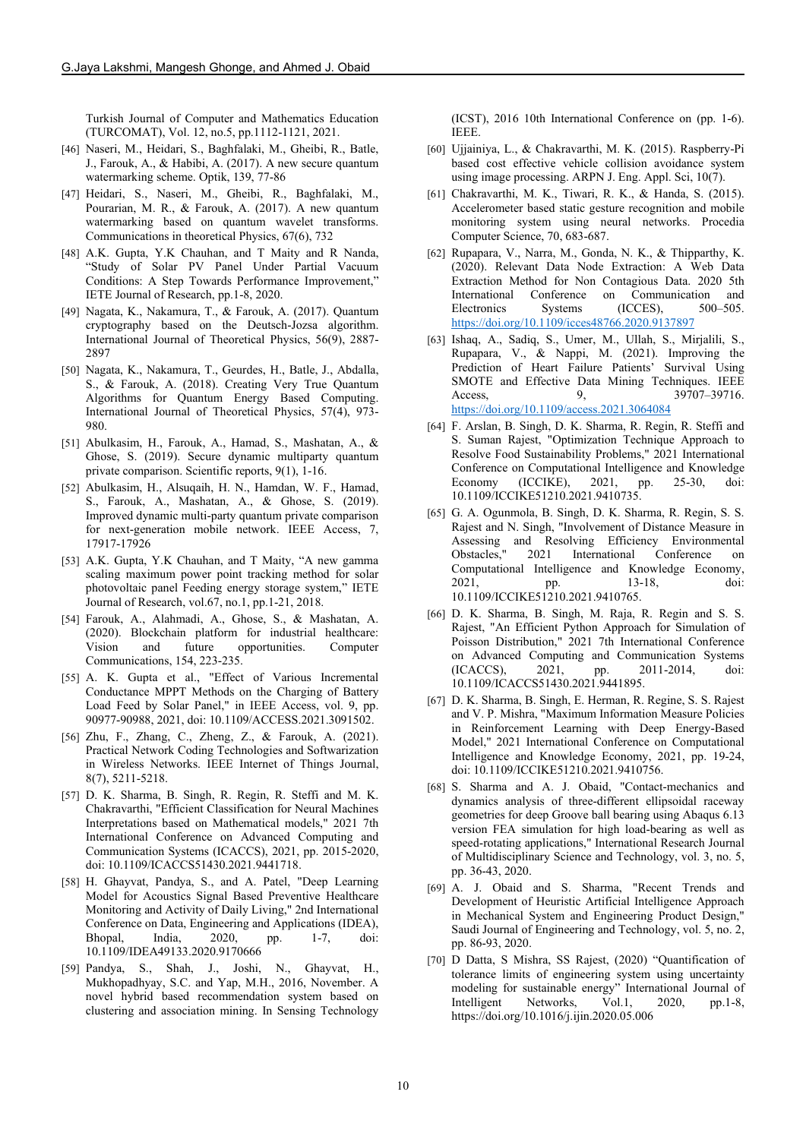Turkish Journal of Computer and Mathematics Education (TURCOMAT), Vol. 12, no.5, pp.1112-1121, 2021.

- [46] Naseri, M., Heidari, S., Baghfalaki, M., Gheibi, R., Batle, J., Farouk, A., & Habibi, A. (2017). A new secure quantum watermarking scheme. Optik, 139, 77-86
- [47] Heidari, S., Naseri, M., Gheibi, R., Baghfalaki, M., Pourarian, M. R., & Farouk, A. (2017). A new quantum watermarking based on quantum wavelet transforms. Communications in theoretical Physics, 67(6), 732
- [48] A.K. Gupta, Y.K Chauhan, and T Maity and R Nanda, "Study of Solar PV Panel Under Partial Vacuum Conditions: A Step Towards Performance Improvement," IETE Journal of Research, pp.1-8, 2020.
- [49] Nagata, K., Nakamura, T., & Farouk, A. (2017). Quantum cryptography based on the Deutsch-Jozsa algorithm. International Journal of Theoretical Physics, 56(9), 2887- 2897
- [50] Nagata, K., Nakamura, T., Geurdes, H., Batle, J., Abdalla, S., & Farouk, A. (2018). Creating Very True Quantum Algorithms for Quantum Energy Based Computing. International Journal of Theoretical Physics, 57(4), 973- 980.
- [51] Abulkasim, H., Farouk, A., Hamad, S., Mashatan, A., & Ghose, S. (2019). Secure dynamic multiparty quantum private comparison. Scientific reports, 9(1), 1-16.
- [52] Abulkasim, H., Alsuqaih, H. N., Hamdan, W. F., Hamad, S., Farouk, A., Mashatan, A., & Ghose, S. (2019). Improved dynamic multi-party quantum private comparison for next-generation mobile network. IEEE Access, 7, 17917-17926
- [53] A.K. Gupta, Y.K Chauhan, and T Maity, "A new gamma scaling maximum power point tracking method for solar photovoltaic panel Feeding energy storage system," IETE Journal of Research, vol.67, no.1, pp.1-21, 2018.
- [54] Farouk, A., Alahmadi, A., Ghose, S., & Mashatan, A. (2020). Blockchain platform for industrial healthcare: Vision and future opportunities. Computer Communications, 154, 223-235.
- [55] A. K. Gupta et al., "Effect of Various Incremental Conductance MPPT Methods on the Charging of Battery Load Feed by Solar Panel," in IEEE Access, vol. 9, pp. 90977-90988, 2021, doi: 10.1109/ACCESS.2021.3091502.
- [56] Zhu, F., Zhang, C., Zheng, Z., & Farouk, A. (2021). Practical Network Coding Technologies and Softwarization in Wireless Networks. IEEE Internet of Things Journal, 8(7), 5211-5218.
- [57] D. K. Sharma, B. Singh, R. Regin, R. Steffi and M. K. Chakravarthi, "Efficient Classification for Neural Machines Interpretations based on Mathematical models," 2021 7th International Conference on Advanced Computing and Communication Systems (ICACCS), 2021, pp. 2015-2020, doi: 10.1109/ICACCS51430.2021.9441718.
- [58] H. Ghayvat, Pandya, S., and A. Patel, "Deep Learning Model for Acoustics Signal Based Preventive Healthcare Monitoring and Activity of Daily Living," 2nd International Conference on Data, Engineering and Applications (IDEA), Bhopal, India, 2020, pp. 1-7, doi: 10.1109/IDEA49133.2020.9170666
- [59] Pandya, S., Shah, J., Joshi, N., Ghayvat, H., Mukhopadhyay, S.C. and Yap, M.H., 2016, November. A novel hybrid based recommendation system based on clustering and association mining. In Sensing Technology

(ICST), 2016 10th International Conference on (pp. 1-6). IEEE.

- [60] Ujjainiya, L., & Chakravarthi, M. K. (2015). Raspberry-Pi based cost effective vehicle collision avoidance system using image processing. ARPN J. Eng. Appl. Sci, 10(7).
- [61] Chakravarthi, M. K., Tiwari, R. K., & Handa, S. (2015). Accelerometer based static gesture recognition and mobile monitoring system using neural networks. Procedia Computer Science, 70, 683-687.
- [62] Rupapara, V., Narra, M., Gonda, N. K., & Thipparthy, K. (2020). Relevant Data Node Extraction: A Web Data Extraction Method for Non Contagious Data. 2020 5th International Conference on Communication and<br>Electronics Systems (ICCES) 500–505. Electronics Systems <https://doi.org/10.1109/icces48766.2020.9137897>
- [63] Ishaq, A., Sadiq, S., Umer, M., Ullah, S., Mirjalili, S., Rupapara, V., & Nappi, M. (2021). Improving the Prediction of Heart Failure Patients' Survival Using SMOTE and Effective Data Mining Techniques. IEEE Access, 9, 39707–39716. <https://doi.org/10.1109/access.2021.3064084>
- [64] F. Arslan, B. Singh, D. K. Sharma, R. Regin, R. Steffi and S. Suman Rajest, "Optimization Technique Approach to Resolve Food Sustainability Problems," 2021 International Conference on Computational Intelligence and Knowledge Economy (ICCIKE), 2021, pp. 25-30, doi: 10.1109/ICCIKE51210.2021.9410735.
- [65] G. A. Ogunmola, B. Singh, D. K. Sharma, R. Regin, S. S. Rajest and N. Singh, "Involvement of Distance Measure in Assessing and Resolving Efficiency Environmental Obstacles," 2021 International Conference on Computational Intelligence and Knowledge Economy, 2021, pp. 13-18, doi: 10.1109/ICCIKE51210.2021.9410765.
- [66] D. K. Sharma, B. Singh, M. Raja, R. Regin and S. S. Rajest, "An Efficient Python Approach for Simulation of Poisson Distribution," 2021 7th International Conference on Advanced Computing and Communication Systems (ICACCS), 2021, pp. 2011-2014, doi: 10.1109/ICACCS51430.2021.9441895.
- [67] D. K. Sharma, B. Singh, E. Herman, R. Regine, S. S. Rajest and V. P. Mishra, "Maximum Information Measure Policies in Reinforcement Learning with Deep Energy-Based Model," 2021 International Conference on Computational Intelligence and Knowledge Economy, 2021, pp. 19-24, doi: 10.1109/ICCIKE51210.2021.9410756.
- [68] S. Sharma and A. J. Obaid, "Contact-mechanics and dynamics analysis of three-different ellipsoidal raceway geometries for deep Groove ball bearing using Abaqus 6.13 version FEA simulation for high load-bearing as well as speed-rotating applications," International Research Journal of Multidisciplinary Science and Technology, vol. 3, no. 5, pp. 36-43, 2020.
- [69] A. J. Obaid and S. Sharma, "Recent Trends and Development of Heuristic Artificial Intelligence Approach in Mechanical System and Engineering Product Design," Saudi Journal of Engineering and Technology, vol. 5, no. 2, pp. 86-93, 2020.
- [70] D Datta, S Mishra, SS Rajest, (2020) "Quantification of tolerance limits of engineering system using uncertainty modeling for sustainable energy" International Journal of<br>Intelligent Networks, Vol.1, 2020, pp.1-8, Intelligent Networks, Vol.1, 2020, https://doi.org/10.1016/j.ijin.2020.05.006